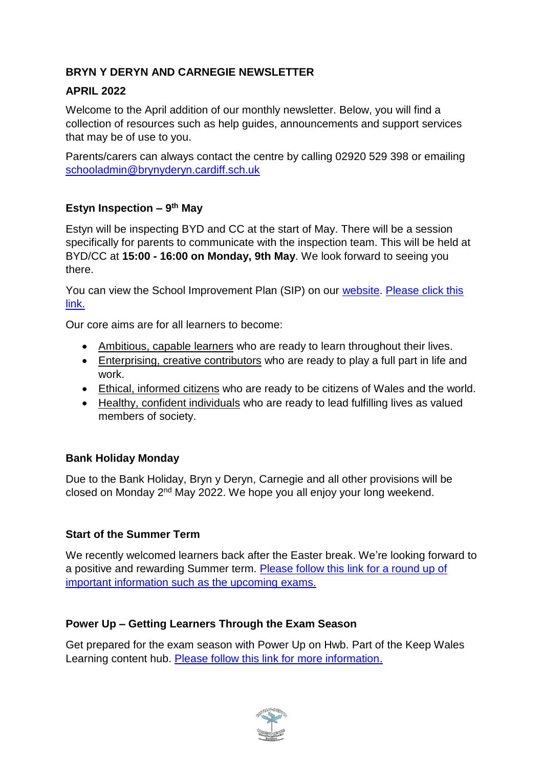# **BRYN Y DERYN AND CARNEGIE NEWSLETTER**

### **APRIL 2022**

Welcome to the April addition of our monthly newsletter. Below, you will find a collection of resources such as help guides, announcements and support services that may be of use to you.

Parents/carers can always contact the centre by calling 02920 529 398 or emailing [schooladmin@brynyderyn.cardiff.sch.uk](mailto:schooladmin@brynyderyn.cardiff.sch.uk)

## **Estyn Inspection – 9 th May**

Estyn will be inspecting BYD and CC at the start of May. There will be a session specifically for parents to communicate with the inspection team. This will be held at BYD/CC at **15:00 - 16:00 on Monday, 9th May**. We look forward to seeing you there.

You can view the School Improvement Plan (SIP) on our [website.](http://www.brynyderynpru.co.uk/) [Please click this](https://www.brynyderynpru.co.uk/_files/ugd/6b28f8_6a1ac2d5b92d4676ab31b0198445fecc.pdf)  [link.](https://www.brynyderynpru.co.uk/_files/ugd/6b28f8_6a1ac2d5b92d4676ab31b0198445fecc.pdf)

Our core aims are for all learners to become:

- Ambitious, capable learners who are ready to learn throughout their lives.
- Enterprising, creative contributors who are ready to play a full part in life and work.
- Ethical, informed citizens who are ready to be citizens of Wales and the world.
- Healthy, confident individuals who are ready to lead fulfilling lives as valued members of society.

#### **Bank Holiday Monday**

Due to the Bank Holiday, Bryn y Deryn, Carnegie and all other provisions will be closed on Monday 2nd May 2022. We hope you all enjoy your long weekend.

#### **Start of the Summer Term**

We recently welcomed learners back after the Easter break. We're looking forward to a positive and rewarding Summer term. [Please follow this link for a round up of](https://www.brynyderynpru.co.uk/post/welcome-back-1)  [important information such as the upcoming](https://www.brynyderynpru.co.uk/post/welcome-back-1) exams.

#### **Power Up – Getting Learners Through the Exam Season**

Get prepared for the exam season with Power Up on Hwb. Part of the Keep Wales Learning content hub. [Please follow this link for more information.](https://www.brynyderynpru.co.uk/post/power-up-getting-learners-through-the-exam-season)